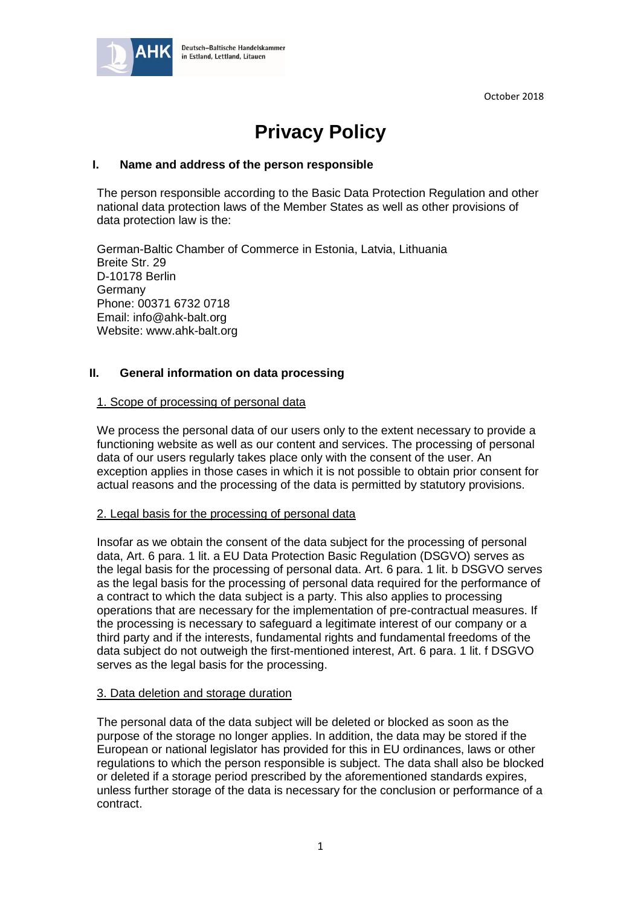October 2018



# **Privacy Policy**

# **I. Name and address of the person responsible**

The person responsible according to the Basic Data Protection Regulation and other national data protection laws of the Member States as well as other provisions of data protection law is the:

German-Baltic Chamber of Commerce in Estonia, Latvia, Lithuania Breite Str. 29 D-10178 Berlin Germany Phone: 00371 6732 0718 Email: info@ahk-balt.org Website: www.ahk-balt.org

# **II. General information on data processing**

## 1. Scope of processing of personal data

We process the personal data of our users only to the extent necessary to provide a functioning website as well as our content and services. The processing of personal data of our users regularly takes place only with the consent of the user. An exception applies in those cases in which it is not possible to obtain prior consent for actual reasons and the processing of the data is permitted by statutory provisions.

## 2. Legal basis for the processing of personal data

Insofar as we obtain the consent of the data subject for the processing of personal data, Art. 6 para. 1 lit. a EU Data Protection Basic Regulation (DSGVO) serves as the legal basis for the processing of personal data. Art. 6 para. 1 lit. b DSGVO serves as the legal basis for the processing of personal data required for the performance of a contract to which the data subject is a party. This also applies to processing operations that are necessary for the implementation of pre-contractual measures. If the processing is necessary to safeguard a legitimate interest of our company or a third party and if the interests, fundamental rights and fundamental freedoms of the data subject do not outweigh the first-mentioned interest, Art. 6 para. 1 lit. f DSGVO serves as the legal basis for the processing.

## 3. Data deletion and storage duration

The personal data of the data subject will be deleted or blocked as soon as the purpose of the storage no longer applies. In addition, the data may be stored if the European or national legislator has provided for this in EU ordinances, laws or other regulations to which the person responsible is subject. The data shall also be blocked or deleted if a storage period prescribed by the aforementioned standards expires, unless further storage of the data is necessary for the conclusion or performance of a contract.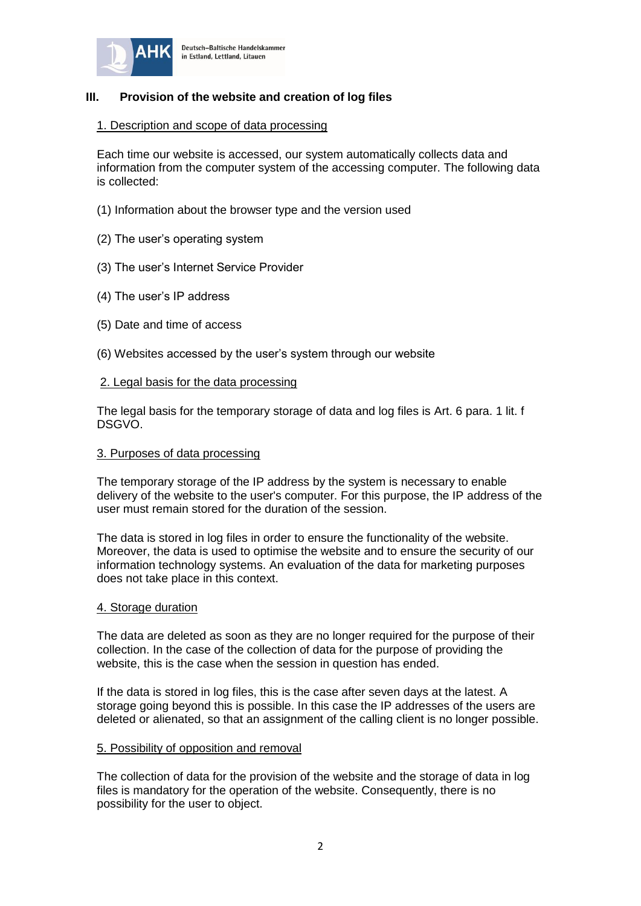

# **III. Provision of the website and creation of log files**

### 1. Description and scope of data processing

Each time our website is accessed, our system automatically collects data and information from the computer system of the accessing computer. The following data is collected:

- (1) Information about the browser type and the version used
- (2) The user's operating system
- (3) The user's Internet Service Provider
- (4) The user's IP address
- (5) Date and time of access
- (6) Websites accessed by the user's system through our website

#### 2. Legal basis for the data processing

The legal basis for the temporary storage of data and log files is Art. 6 para. 1 lit. f DSGVO.

#### 3. Purposes of data processing

The temporary storage of the IP address by the system is necessary to enable delivery of the website to the user's computer. For this purpose, the IP address of the user must remain stored for the duration of the session.

The data is stored in log files in order to ensure the functionality of the website. Moreover, the data is used to optimise the website and to ensure the security of our information technology systems. An evaluation of the data for marketing purposes does not take place in this context.

### 4. Storage duration

The data are deleted as soon as they are no longer required for the purpose of their collection. In the case of the collection of data for the purpose of providing the website, this is the case when the session in question has ended.

If the data is stored in log files, this is the case after seven days at the latest. A storage going beyond this is possible. In this case the IP addresses of the users are deleted or alienated, so that an assignment of the calling client is no longer possible.

#### 5. Possibility of opposition and removal

The collection of data for the provision of the website and the storage of data in log files is mandatory for the operation of the website. Consequently, there is no possibility for the user to object.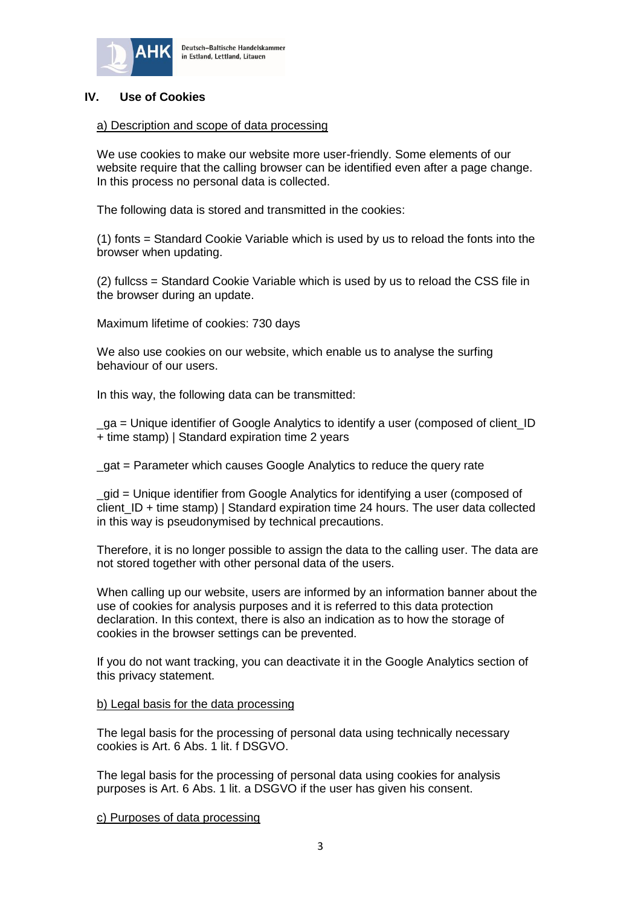

# **IV. Use of Cookies**

## a) Description and scope of data processing

We use cookies to make our website more user-friendly. Some elements of our website require that the calling browser can be identified even after a page change. In this process no personal data is collected.

The following data is stored and transmitted in the cookies:

(1) fonts = Standard Cookie Variable which is used by us to reload the fonts into the browser when updating.

(2) fullcss = Standard Cookie Variable which is used by us to reload the CSS file in the browser during an update.

Maximum lifetime of cookies: 730 days

We also use cookies on our website, which enable us to analyse the surfing behaviour of our users.

In this way, the following data can be transmitted:

\_ga = Unique identifier of Google Analytics to identify a user (composed of client\_ID + time stamp) | Standard expiration time 2 years

\_gat = Parameter which causes Google Analytics to reduce the query rate

\_gid = Unique identifier from Google Analytics for identifying a user (composed of client  $ID + time stamp)$  Standard expiration time 24 hours. The user data collected in this way is pseudonymised by technical precautions.

Therefore, it is no longer possible to assign the data to the calling user. The data are not stored together with other personal data of the users.

When calling up our website, users are informed by an information banner about the use of cookies for analysis purposes and it is referred to this data protection declaration. In this context, there is also an indication as to how the storage of cookies in the browser settings can be prevented.

If you do not want tracking, you can deactivate it in the Google Analytics section of this privacy statement.

#### b) Legal basis for the data processing

The legal basis for the processing of personal data using technically necessary cookies is Art. 6 Abs. 1 lit. f DSGVO.

The legal basis for the processing of personal data using cookies for analysis purposes is Art. 6 Abs. 1 lit. a DSGVO if the user has given his consent.

c) Purposes of data processing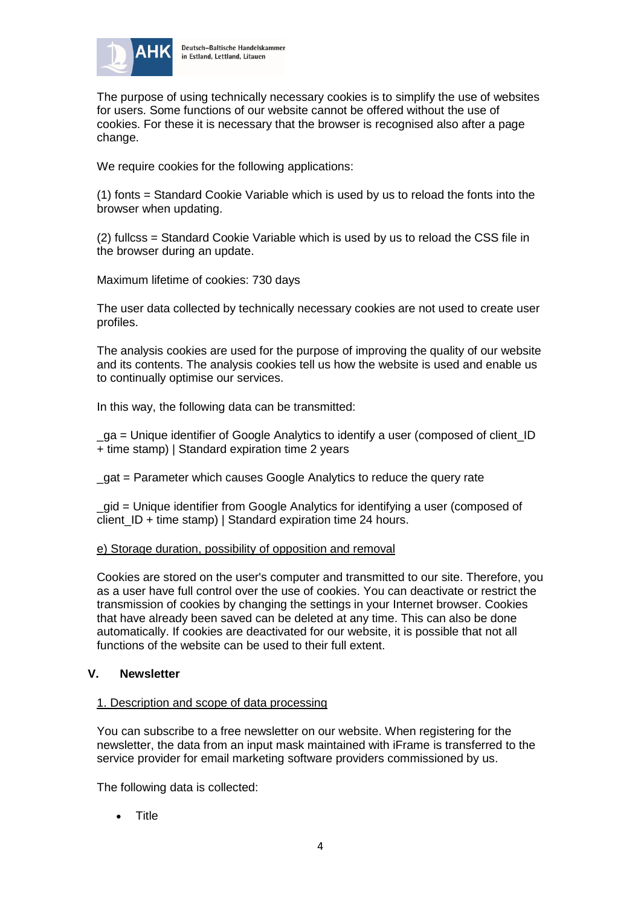

The purpose of using technically necessary cookies is to simplify the use of websites for users. Some functions of our website cannot be offered without the use of cookies. For these it is necessary that the browser is recognised also after a page change.

We require cookies for the following applications:

(1) fonts = Standard Cookie Variable which is used by us to reload the fonts into the browser when updating.

(2) fullcss = Standard Cookie Variable which is used by us to reload the CSS file in the browser during an update.

Maximum lifetime of cookies: 730 days

The user data collected by technically necessary cookies are not used to create user profiles.

The analysis cookies are used for the purpose of improving the quality of our website and its contents. The analysis cookies tell us how the website is used and enable us to continually optimise our services.

In this way, the following data can be transmitted:

\_ga = Unique identifier of Google Analytics to identify a user (composed of client\_ID + time stamp) | Standard expiration time 2 years

\_gat = Parameter which causes Google Analytics to reduce the query rate

\_gid = Unique identifier from Google Analytics for identifying a user (composed of client\_ID + time stamp) | Standard expiration time 24 hours.

## e) Storage duration, possibility of opposition and removal

Cookies are stored on the user's computer and transmitted to our site. Therefore, you as a user have full control over the use of cookies. You can deactivate or restrict the transmission of cookies by changing the settings in your Internet browser. Cookies that have already been saved can be deleted at any time. This can also be done automatically. If cookies are deactivated for our website, it is possible that not all functions of the website can be used to their full extent.

## **V. Newsletter**

## 1. Description and scope of data processing

You can subscribe to a free newsletter on our website. When registering for the newsletter, the data from an input mask maintained with iFrame is transferred to the service provider for email marketing software providers commissioned by us.

The following data is collected:

• Title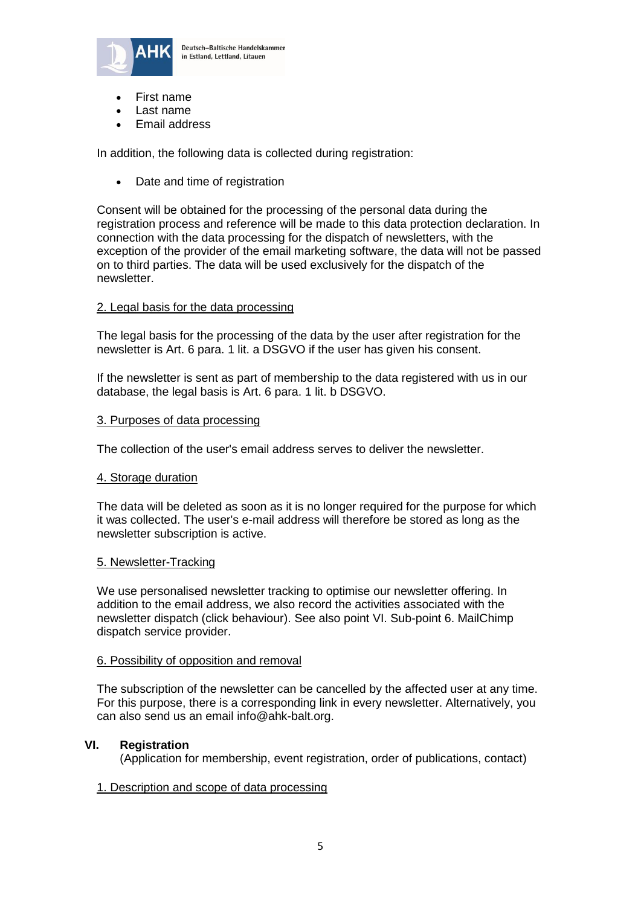

- First name
- Last name
- Email address

In addition, the following data is collected during registration:

• Date and time of registration

Consent will be obtained for the processing of the personal data during the registration process and reference will be made to this data protection declaration. In connection with the data processing for the dispatch of newsletters, with the exception of the provider of the email marketing software, the data will not be passed on to third parties. The data will be used exclusively for the dispatch of the newsletter.

#### 2. Legal basis for the data processing

The legal basis for the processing of the data by the user after registration for the newsletter is Art. 6 para. 1 lit. a DSGVO if the user has given his consent.

If the newsletter is sent as part of membership to the data registered with us in our database, the legal basis is Art. 6 para. 1 lit. b DSGVO.

#### 3. Purposes of data processing

The collection of the user's email address serves to deliver the newsletter.

#### 4. Storage duration

The data will be deleted as soon as it is no longer required for the purpose for which it was collected. The user's e-mail address will therefore be stored as long as the newsletter subscription is active.

#### 5. Newsletter-Tracking

We use personalised newsletter tracking to optimise our newsletter offering. In addition to the email address, we also record the activities associated with the newsletter dispatch (click behaviour). See also point VI. Sub-point 6. MailChimp dispatch service provider.

#### 6. Possibility of opposition and removal

The subscription of the newsletter can be cancelled by the affected user at any time. For this purpose, there is a corresponding link in every newsletter. Alternatively, you can also send us an email info@ahk-balt.org.

#### **VI. Registration**

(Application for membership, event registration, order of publications, contact)

#### 1. Description and scope of data processing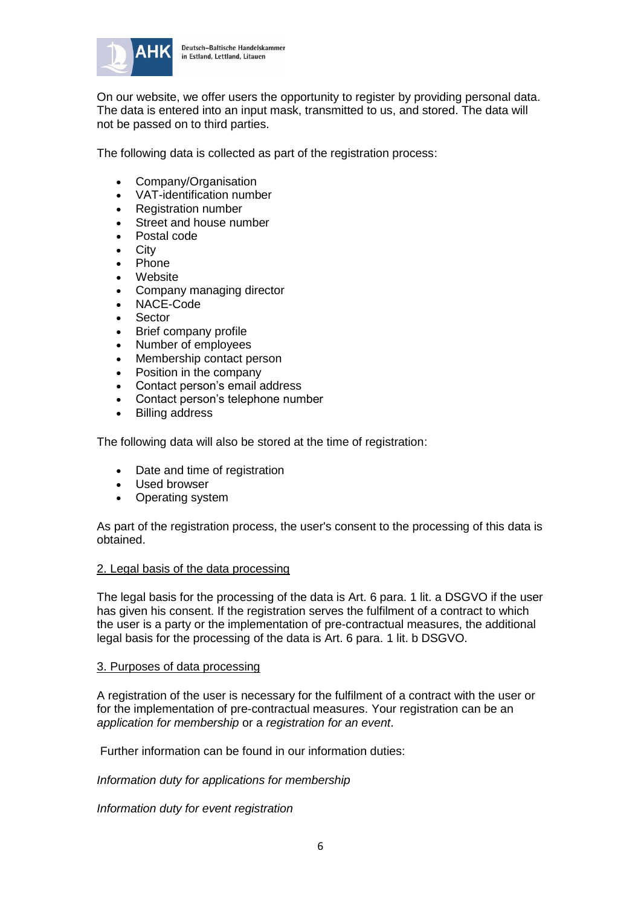

On our website, we offer users the opportunity to register by providing personal data. The data is entered into an input mask, transmitted to us, and stored. The data will not be passed on to third parties.

The following data is collected as part of the registration process:

- Company/Organisation
- VAT-identification number
- Registration number
- Street and house number
- Postal code
- **City**
- Phone
- **Website**
- Company managing director
- NACE-Code
- Sector
- Brief company profile
- Number of employees
- Membership contact person
- Position in the company
- Contact person's email address
- Contact person's telephone number
- **Billing address**

The following data will also be stored at the time of registration:

- Date and time of registration
- Used browser
- Operating system

As part of the registration process, the user's consent to the processing of this data is obtained.

#### 2. Legal basis of the data processing

The legal basis for the processing of the data is Art. 6 para. 1 lit. a DSGVO if the user has given his consent. If the registration serves the fulfilment of a contract to which the user is a party or the implementation of pre-contractual measures, the additional legal basis for the processing of the data is Art. 6 para. 1 lit. b DSGVO.

## 3. Purposes of data processing

A registration of the user is necessary for the fulfilment of a contract with the user or for the implementation of pre-contractual measures. Your registration can be an *application for membership* or a *registration for an event*.

Further information can be found in our information duties:

*Information duty for applications for membership*

*Information duty for event registration*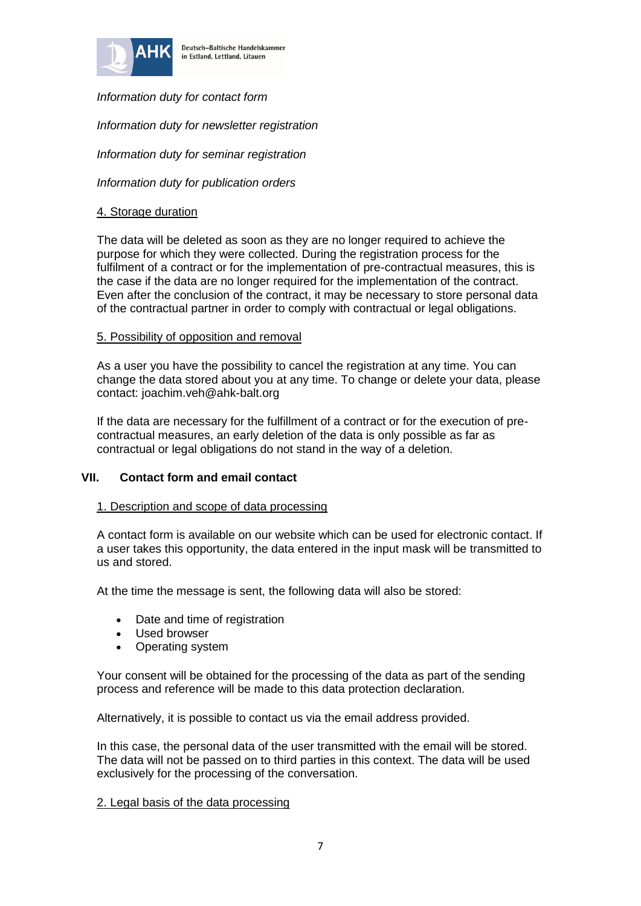

*Information duty for contact form*

*Information duty for newsletter registration*

*Information duty for seminar registration*

*Information duty for publication orders*

# 4. Storage duration

The data will be deleted as soon as they are no longer required to achieve the purpose for which they were collected. During the registration process for the fulfilment of a contract or for the implementation of pre-contractual measures, this is the case if the data are no longer required for the implementation of the contract. Even after the conclusion of the contract, it may be necessary to store personal data of the contractual partner in order to comply with contractual or legal obligations.

## 5. Possibility of opposition and removal

As a user you have the possibility to cancel the registration at any time. You can change the data stored about you at any time. To change or delete your data, please contact: joachim.veh@ahk-balt.org

If the data are necessary for the fulfillment of a contract or for the execution of precontractual measures, an early deletion of the data is only possible as far as contractual or legal obligations do not stand in the way of a deletion.

## **VII. Contact form and email contact**

## 1. Description and scope of data processing

A contact form is available on our website which can be used for electronic contact. If a user takes this opportunity, the data entered in the input mask will be transmitted to us and stored.

At the time the message is sent, the following data will also be stored:

- Date and time of registration
- Used browser
- Operating system

Your consent will be obtained for the processing of the data as part of the sending process and reference will be made to this data protection declaration.

Alternatively, it is possible to contact us via the email address provided.

In this case, the personal data of the user transmitted with the email will be stored. The data will not be passed on to third parties in this context. The data will be used exclusively for the processing of the conversation.

#### 2. Legal basis of the data processing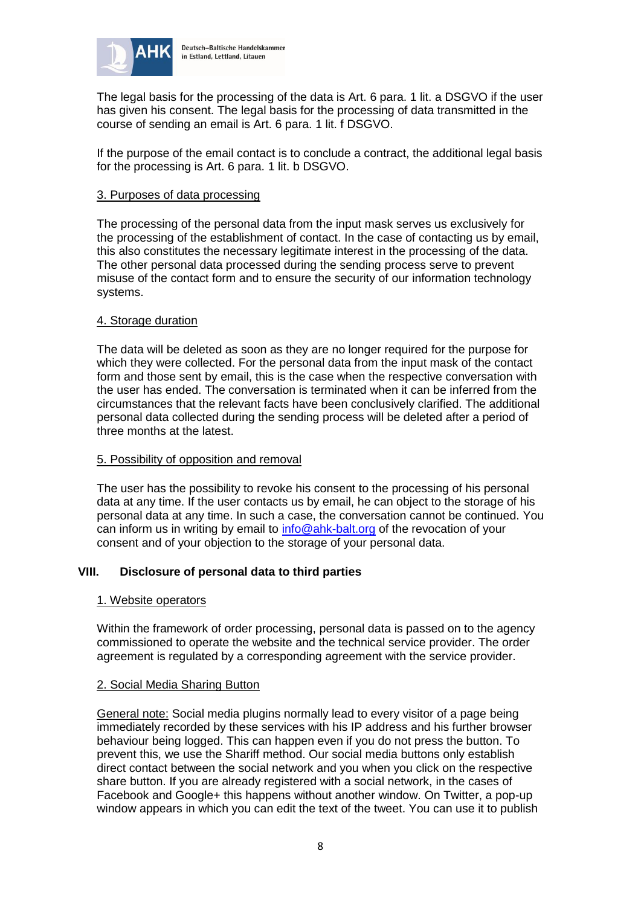

The legal basis for the processing of the data is Art. 6 para. 1 lit. a DSGVO if the user has given his consent. The legal basis for the processing of data transmitted in the course of sending an email is Art. 6 para. 1 lit. f DSGVO.

If the purpose of the email contact is to conclude a contract, the additional legal basis for the processing is Art. 6 para. 1 lit. b DSGVO.

## 3. Purposes of data processing

The processing of the personal data from the input mask serves us exclusively for the processing of the establishment of contact. In the case of contacting us by email, this also constitutes the necessary legitimate interest in the processing of the data. The other personal data processed during the sending process serve to prevent misuse of the contact form and to ensure the security of our information technology systems.

## 4. Storage duration

The data will be deleted as soon as they are no longer required for the purpose for which they were collected. For the personal data from the input mask of the contact form and those sent by email, this is the case when the respective conversation with the user has ended. The conversation is terminated when it can be inferred from the circumstances that the relevant facts have been conclusively clarified. The additional personal data collected during the sending process will be deleted after a period of three months at the latest.

### 5. Possibility of opposition and removal

The user has the possibility to revoke his consent to the processing of his personal data at any time. If the user contacts us by email, he can object to the storage of his personal data at any time. In such a case, the conversation cannot be continued. You can inform us in writing by email to [info@ahk-balt.org](mailto:info@ahk-balt.org) of the revocation of your consent and of your objection to the storage of your personal data.

## **VIII. Disclosure of personal data to third parties**

#### 1. Website operators

Within the framework of order processing, personal data is passed on to the agency commissioned to operate the website and the technical service provider. The order agreement is regulated by a corresponding agreement with the service provider.

#### 2. Social Media Sharing Button

General note: Social media plugins normally lead to every visitor of a page being immediately recorded by these services with his IP address and his further browser behaviour being logged. This can happen even if you do not press the button. To prevent this, we use the Shariff method. Our social media buttons only establish direct contact between the social network and you when you click on the respective share button. If you are already registered with a social network, in the cases of Facebook and Google+ this happens without another window. On Twitter, a pop-up window appears in which you can edit the text of the tweet. You can use it to publish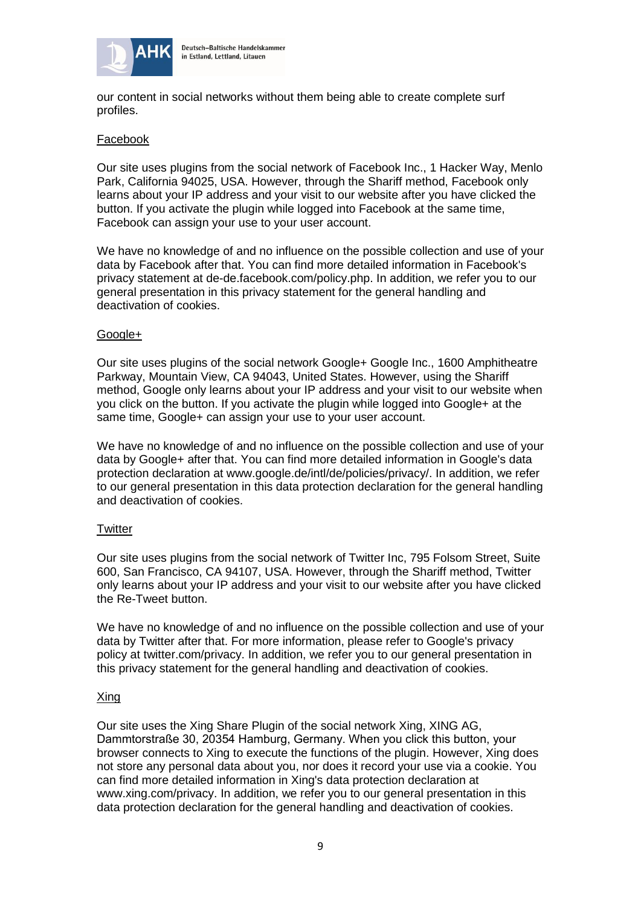

our content in social networks without them being able to create complete surf profiles.

## Facebook

Our site uses plugins from the social network of Facebook Inc., 1 Hacker Way, Menlo Park, California 94025, USA. However, through the Shariff method, Facebook only learns about your IP address and your visit to our website after you have clicked the button. If you activate the plugin while logged into Facebook at the same time, Facebook can assign your use to your user account.

We have no knowledge of and no influence on the possible collection and use of your data by Facebook after that. You can find more detailed information in Facebook's privacy statement at de-de.facebook.com/policy.php. In addition, we refer you to our general presentation in this privacy statement for the general handling and deactivation of cookies.

## Google+

Our site uses plugins of the social network Google+ Google Inc., 1600 Amphitheatre Parkway, Mountain View, CA 94043, United States. However, using the Shariff method, Google only learns about your IP address and your visit to our website when you click on the button. If you activate the plugin while logged into Google+ at the same time, Google+ can assign your use to your user account.

We have no knowledge of and no influence on the possible collection and use of your data by Google+ after that. You can find more detailed information in Google's data protection declaration at www.google.de/intl/de/policies/privacy/. In addition, we refer to our general presentation in this data protection declaration for the general handling and deactivation of cookies.

## **Twitter**

Our site uses plugins from the social network of Twitter Inc, 795 Folsom Street, Suite 600, San Francisco, CA 94107, USA. However, through the Shariff method, Twitter only learns about your IP address and your visit to our website after you have clicked the Re-Tweet button.

We have no knowledge of and no influence on the possible collection and use of your data by Twitter after that. For more information, please refer to Google's privacy policy at twitter.com/privacy. In addition, we refer you to our general presentation in this privacy statement for the general handling and deactivation of cookies.

## Xing

Our site uses the Xing Share Plugin of the social network Xing, XING AG, Dammtorstraße 30, 20354 Hamburg, Germany. When you click this button, your browser connects to Xing to execute the functions of the plugin. However, Xing does not store any personal data about you, nor does it record your use via a cookie. You can find more detailed information in Xing's data protection declaration at www.xing.com/privacy. In addition, we refer you to our general presentation in this data protection declaration for the general handling and deactivation of cookies.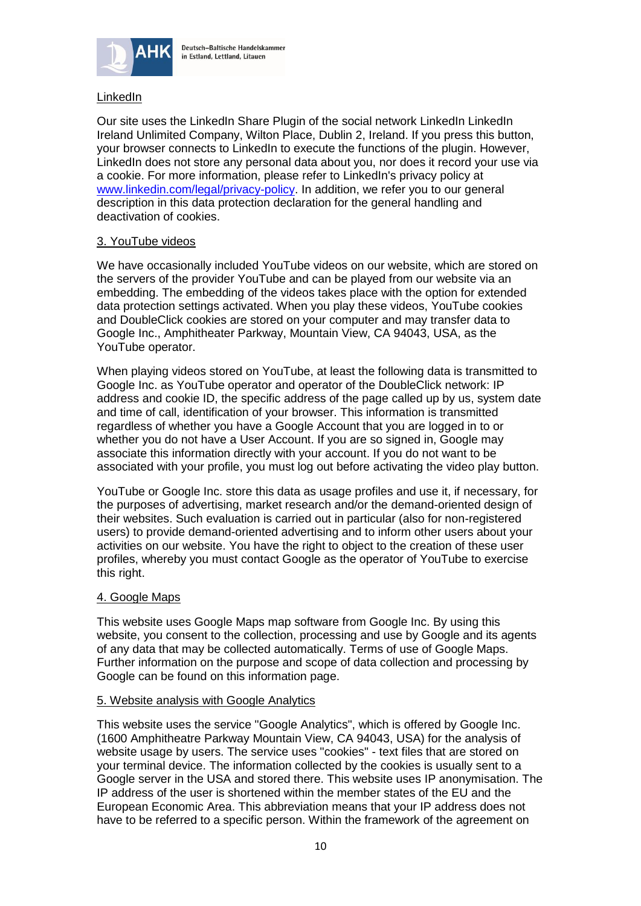

# **LinkedIn**

Our site uses the LinkedIn Share Plugin of the social network LinkedIn LinkedIn Ireland Unlimited Company, Wilton Place, Dublin 2, Ireland. If you press this button, your browser connects to LinkedIn to execute the functions of the plugin. However, LinkedIn does not store any personal data about you, nor does it record your use via a cookie. For more information, please refer to LinkedIn's privacy policy at [www.linkedin.com/legal/privacy-policy.](file:///C:/Users/Joachim/Downloads/Microsoft.SkypeApp_kzf8qxf38zg5c!App/All/www.linkedin.com/legal/privacy-policy) In addition, we refer you to our general description in this data protection declaration for the general handling and deactivation of cookies.

## 3. YouTube videos

We have occasionally included YouTube videos on our website, which are stored on the servers of the provider YouTube and can be played from our website via an embedding. The embedding of the videos takes place with the option for extended data protection settings activated. When you play these videos, YouTube cookies and DoubleClick cookies are stored on your computer and may transfer data to Google Inc., Amphitheater Parkway, Mountain View, CA 94043, USA, as the YouTube operator.

When playing videos stored on YouTube, at least the following data is transmitted to Google Inc. as YouTube operator and operator of the DoubleClick network: IP address and cookie ID, the specific address of the page called up by us, system date and time of call, identification of your browser. This information is transmitted regardless of whether you have a Google Account that you are logged in to or whether you do not have a User Account. If you are so signed in, Google may associate this information directly with your account. If you do not want to be associated with your profile, you must log out before activating the video play button.

YouTube or Google Inc. store this data as usage profiles and use it, if necessary, for the purposes of advertising, market research and/or the demand-oriented design of their websites. Such evaluation is carried out in particular (also for non-registered users) to provide demand-oriented advertising and to inform other users about your activities on our website. You have the right to object to the creation of these user profiles, whereby you must contact Google as the operator of YouTube to exercise this right.

#### 4. Google Maps

This website uses Google Maps map software from Google Inc. By using this website, you consent to the collection, processing and use by Google and its agents of any data that may be collected automatically. Terms of use of Google Maps. Further information on the purpose and scope of data collection and processing by Google can be found on this information page.

#### 5. Website analysis with Google Analytics

This website uses the service "Google Analytics", which is offered by Google Inc. (1600 Amphitheatre Parkway Mountain View, CA 94043, USA) for the analysis of website usage by users. The service uses "cookies" - text files that are stored on your terminal device. The information collected by the cookies is usually sent to a Google server in the USA and stored there. This website uses IP anonymisation. The IP address of the user is shortened within the member states of the EU and the European Economic Area. This abbreviation means that your IP address does not have to be referred to a specific person. Within the framework of the agreement on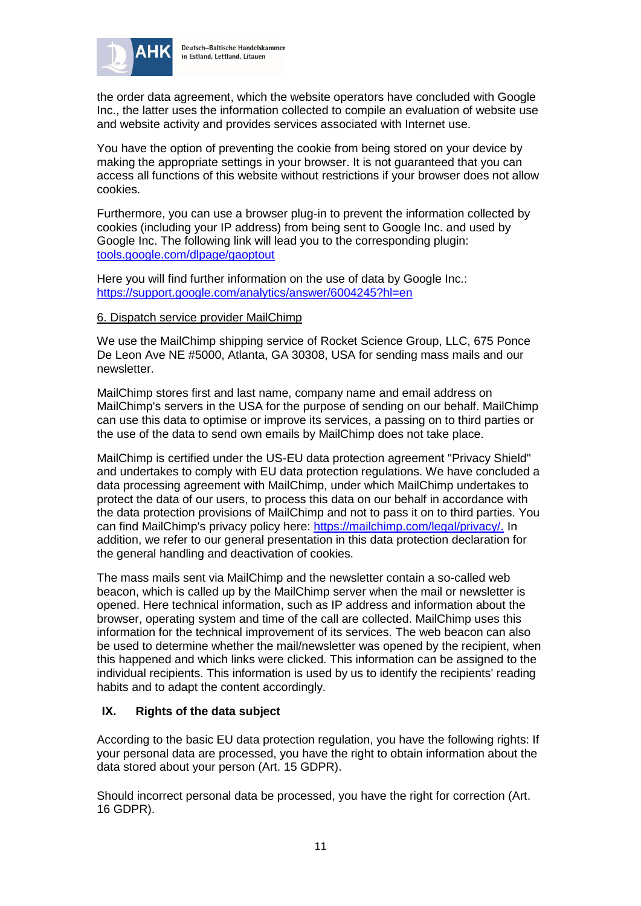

the order data agreement, which the website operators have concluded with Google Inc., the latter uses the information collected to compile an evaluation of website use and website activity and provides services associated with Internet use.

You have the option of preventing the cookie from being stored on your device by making the appropriate settings in your browser. It is not guaranteed that you can access all functions of this website without restrictions if your browser does not allow cookies.

Furthermore, you can use a browser plug-in to prevent the information collected by cookies (including your IP address) from being sent to Google Inc. and used by Google Inc. The following link will lead you to the corresponding plugin: [tools.google.com/dlpage/gaoptout](file:///C:/Users/Joachim/Downloads/Microsoft.SkypeApp_kzf8qxf38zg5c!App/All/tools.google.com/dlpage/gaoptout)

Here you will find further information on the use of data by Google Inc.: [https://support.google.com/analytics/answer/6004245?hl=en](https://support.google.com/analytics/answer/6004245?hl=en%20%20) 

## 6. Dispatch service provider MailChimp

We use the MailChimp shipping service of Rocket Science Group, LLC, 675 Ponce De Leon Ave NE #5000, Atlanta, GA 30308, USA for sending mass mails and our newsletter.

MailChimp stores first and last name, company name and email address on MailChimp's servers in the USA for the purpose of sending on our behalf. MailChimp can use this data to optimise or improve its services, a passing on to third parties or the use of the data to send own emails by MailChimp does not take place.

MailChimp is certified under the US-EU data protection agreement "Privacy Shield" and undertakes to comply with EU data protection regulations. We have concluded a data processing agreement with MailChimp, under which MailChimp undertakes to protect the data of our users, to process this data on our behalf in accordance with the data protection provisions of MailChimp and not to pass it on to third parties. You can find MailChimp's privacy policy here: [https://mailchimp.com/legal/privacy/.](https://mailchimp.com/legal/privacy/) In addition, we refer to our general presentation in this data protection declaration for the general handling and deactivation of cookies.

The mass mails sent via MailChimp and the newsletter contain a so-called web beacon, which is called up by the MailChimp server when the mail or newsletter is opened. Here technical information, such as IP address and information about the browser, operating system and time of the call are collected. MailChimp uses this information for the technical improvement of its services. The web beacon can also be used to determine whether the mail/newsletter was opened by the recipient, when this happened and which links were clicked. This information can be assigned to the individual recipients. This information is used by us to identify the recipients' reading habits and to adapt the content accordingly.

# **IX. Rights of the data subject**

According to the basic EU data protection regulation, you have the following rights: If your personal data are processed, you have the right to obtain information about the data stored about your person (Art. 15 GDPR).

Should incorrect personal data be processed, you have the right for correction (Art. 16 GDPR).